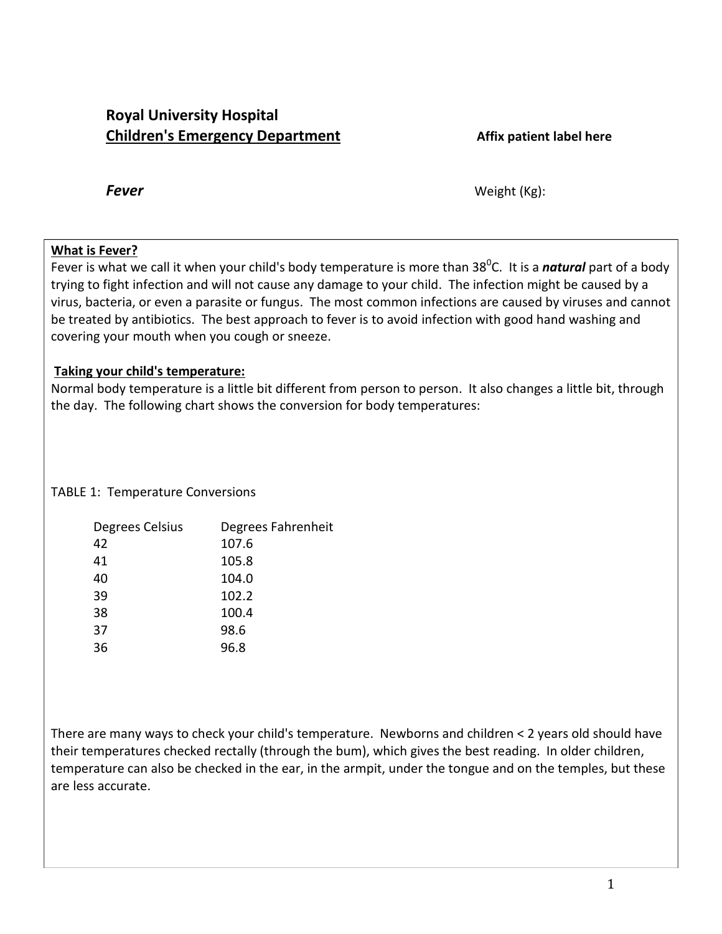# **Royal University Hospital Children's Emergency Department Affix patient label here**

*Fever* Weight (Kg):

## **What is Fever?**

Fever is what we call it when your child's body temperature is more than 38<sup>0</sup>C. It is a *natural* part of a body trying to fight infection and will not cause any damage to your child. The infection might be caused by a virus, bacteria, or even a parasite or fungus. The most common infections are caused by viruses and cannot be treated by antibiotics. The best approach to fever is to avoid infection with good hand washing and covering your mouth when you cough or sneeze.

# **Taking your child's temperature:**

Normal body temperature is a little bit different from person to person. It also changes a little bit, through the day. The following chart shows the conversion for body temperatures:

# TABLE 1: Temperature Conversions

| Degrees Celsius | Degrees Fahrenheit |
|-----------------|--------------------|
| 42              | 107.6              |
| 41              | 105.8              |
| 40              | 104.0              |
| 39              | 102.2              |
| 38              | 100.4              |
| 37              | 98.6               |
| 36              | 96.8               |

There are many ways to check your child's temperature. Newborns and children < 2 years old should have their temperatures checked rectally (through the bum), which gives the best reading. In older children, temperature can also be checked in the ear, in the armpit, under the tongue and on the temples, but these are less accurate.